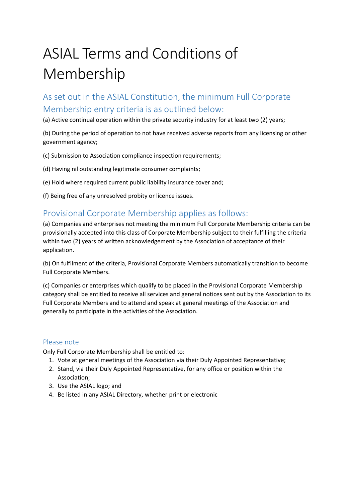# ASIAL Terms and Conditions of Membership

# As set out in the ASIAL Constitution, the minimum Full Corporate Membership entry criteria is as outlined below:

(a) Active continual operation within the private security industry for at least two (2) years;

(b) During the period of operation to not have received adverse reports from any licensing or other government agency;

(c) Submission to Association compliance inspection requirements;

(d) Having nil outstanding legitimate consumer complaints;

(e) Hold where required current public liability insurance cover and;

(f) Being free of any unresolved probity or licence issues.

## Provisional Corporate Membership applies as follows:

(a) Companies and enterprises not meeting the minimum Full Corporate Membership criteria can be provisionally accepted into this class of Corporate Membership subject to their fulfilling the criteria within two (2) years of written acknowledgement by the Association of acceptance of their application.

(b) On fulfilment of the criteria, Provisional Corporate Members automatically transition to become Full Corporate Members.

(c) Companies or enterprises which qualify to be placed in the Provisional Corporate Membership category shall be entitled to receive all services and general notices sent out by the Association to its Full Corporate Members and to attend and speak at general meetings of the Association and generally to participate in the activities of the Association.

### Please note

Only Full Corporate Membership shall be entitled to:

- 1. Vote at general meetings of the Association via their Duly Appointed Representative;
- 2. Stand, via their Duly Appointed Representative, for any office or position within the Association;
- 3. Use the ASIAL logo; and
- 4. Be listed in any ASIAL Directory, whether print or electronic